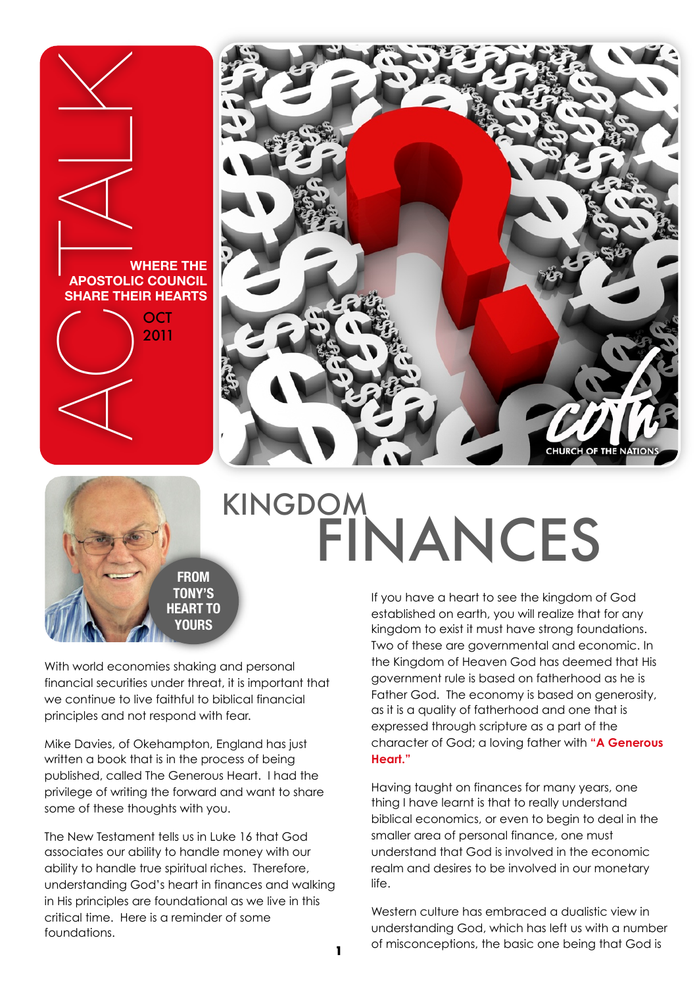NOTE THE WHERE THE SHARE THEIR HEARTS **APOSTOLIC COUNCIL SHARE THEIR HEARTS**

**OCT** 2011





## KINGDOM FINANCES

With world economies shaking and personal financial securities under threat, it is important that we continue to live faithful to biblical financial principles and not respond with fear.

Mike Davies, of Okehampton, England has just written a book that is in the process of being published, called The Generous Heart. I had the privilege of writing the forward and want to share some of these thoughts with you.

The New Testament tells us in Luke 16 that God associates our ability to handle money with our ability to handle true spiritual riches. Therefore, understanding God's heart in finances and walking in His principles are foundational as we live in this critical time. Here is a reminder of some foundations.

If you have a heart to see the kingdom of God established on earth, you will realize that for any kingdom to exist it must have strong foundations. Two of these are governmental and economic. In the Kingdom of Heaven God has deemed that His government rule is based on fatherhood as he is Father God. The economy is based on generosity, as it is a quality of fatherhood and one that is expressed through scripture as a part of the character of God; a loving father with **"A Generous Heart."**

Having taught on finances for many years, one thing I have learnt is that to really understand biblical economics, or even to begin to deal in the smaller area of personal finance, one must understand that God is involved in the economic realm and desires to be involved in our monetary  $l$ if $\approx$ 

Western culture has embraced a dualistic view in understanding God, which has left us with a number of misconceptions, the basic one being that God is